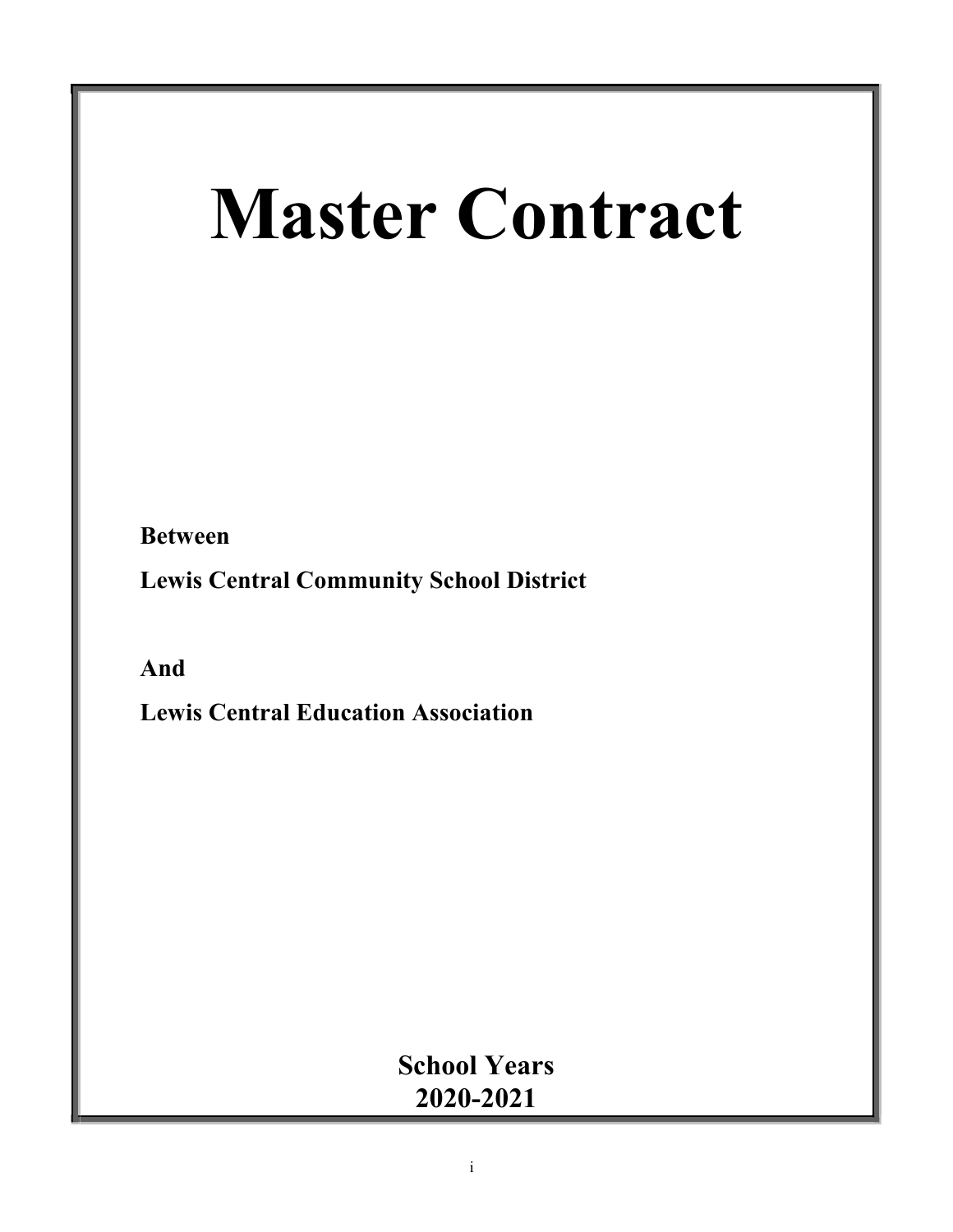# **Master Contract**

**Between**

**Lewis Central Community School District**

**And**

**Lewis Central Education Association**

**School Years 2020-2021**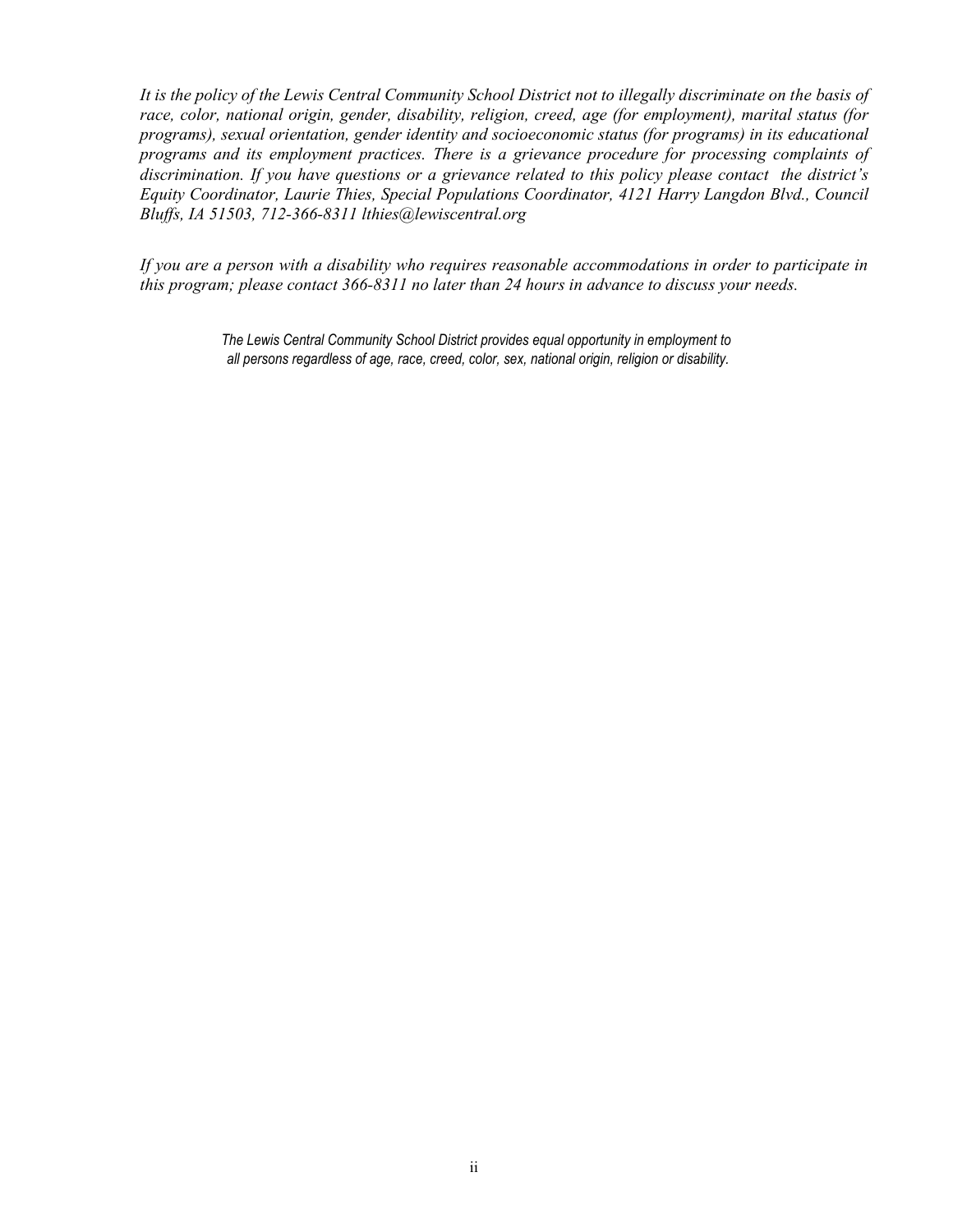*It is the policy of the Lewis Central Community School District not to illegally discriminate on the basis of race, color, national origin, gender, disability, religion, creed, age (for employment), marital status (for programs), sexual orientation, gender identity and socioeconomic status (for programs) in its educational programs and its employment practices. There is a grievance procedure for processing complaints of discrimination. If you have questions or a grievance related to this policy please contact the district's Equity Coordinator, Laurie Thies, Special Populations Coordinator, 4121 Harry Langdon Blvd., Council Bluffs, IA 51503, 712-366-8311 [lthies@lewiscentral.org](mailto:lthies@lewiscentral.org)*

*If you are a person with a disability who requires reasonable accommodations in order to participate in this program; please contact 366-8311 no later than 24 hours in advance to discuss your needs.*

> *The Lewis Central Community School District provides equal opportunity in employment to all persons regardless of age, race, creed, color, sex, national origin, religion or disability.*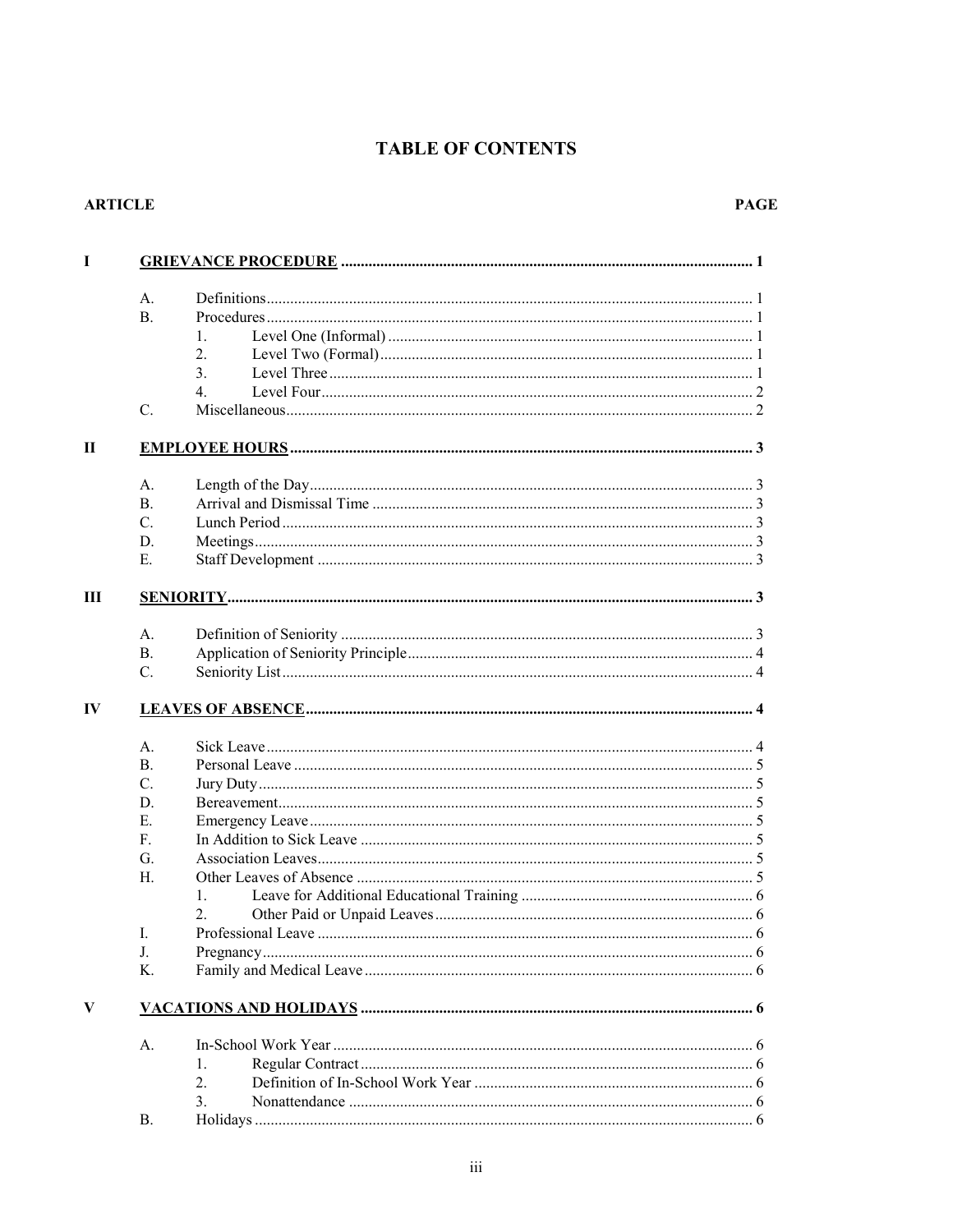# **TABLE OF CONTENTS**

#### **ARTICLE**

| A.             |                  |
|----------------|------------------|
| <b>B.</b>      |                  |
|                | 1.               |
|                | 2.               |
|                | 3.               |
|                | 4.               |
| $\mathbf{C}$ . |                  |
|                |                  |
| A.             |                  |
| B.             |                  |
| $C_{\cdot}$    |                  |
| D.             |                  |
| Е.             |                  |
|                |                  |
| A.             |                  |
| <b>B.</b>      |                  |
| $C_{\cdot}$    |                  |
|                |                  |
|                |                  |
| A.             |                  |
| B.             |                  |
| $C_{\cdot}$    |                  |
| D.             |                  |
| E.             |                  |
| F.             |                  |
| G.             |                  |
| Н.             |                  |
|                | 1.               |
|                | 2.               |
| I.             |                  |
| J.             |                  |
| Κ.             |                  |
|                |                  |
|                |                  |
|                |                  |
|                |                  |
|                | 1.               |
| А.             | $\overline{2}$ . |
|                | 3.               |
| В.             |                  |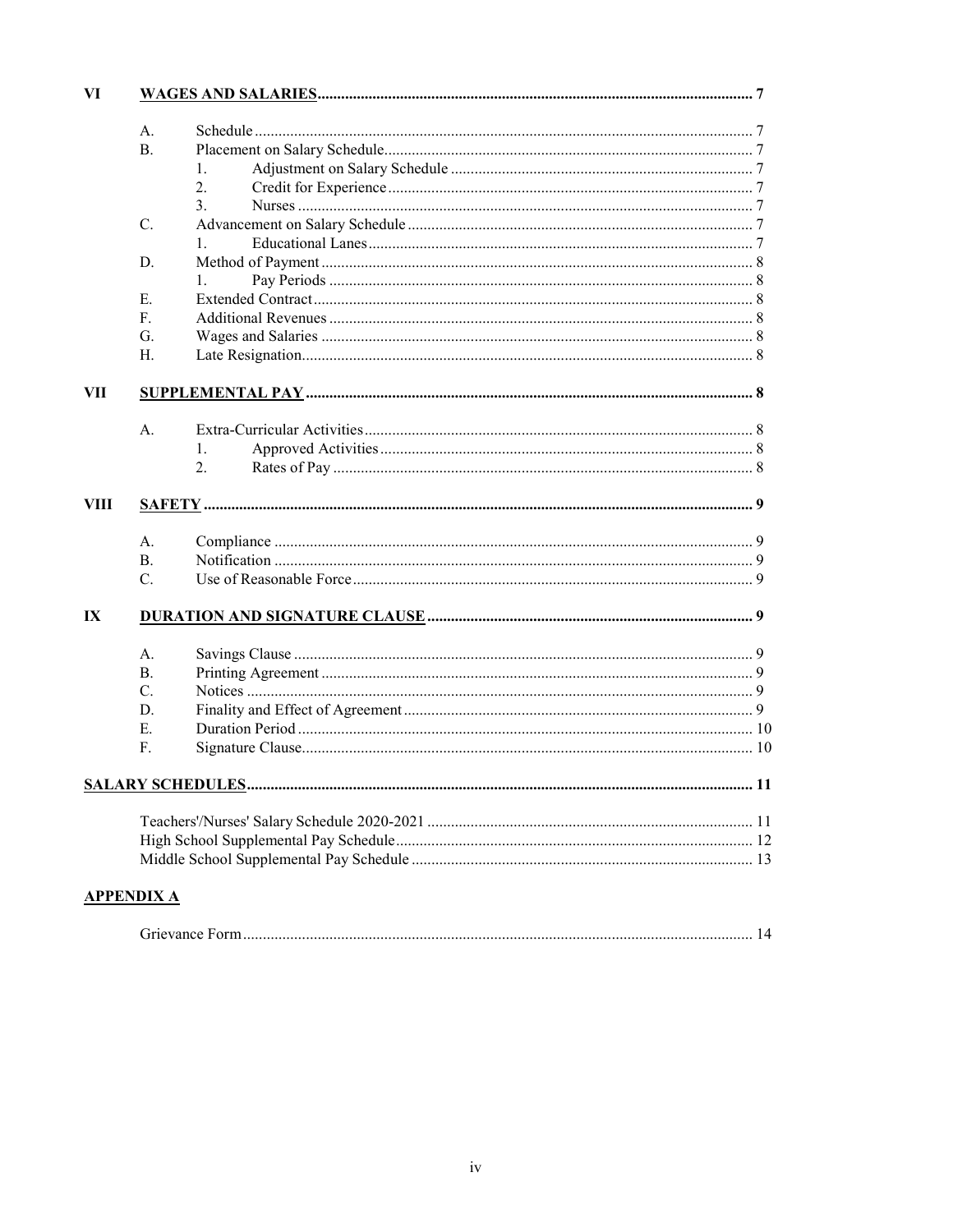| VI   |                   |                |    |
|------|-------------------|----------------|----|
|      | A.                |                |    |
|      | <b>B.</b>         |                |    |
|      |                   | 1.             |    |
|      |                   | 2.             |    |
|      |                   | 3.             |    |
|      | C.                |                |    |
|      |                   | $\mathbf{1}$ . |    |
|      | D.                |                |    |
|      |                   | 1.             |    |
|      | Е.                |                |    |
|      | $F_{\rm{L}}$      |                |    |
|      | G.                |                |    |
|      | Н.                |                |    |
|      |                   |                |    |
| VII  |                   |                |    |
|      |                   |                |    |
|      | A.                |                |    |
|      |                   | 1.             |    |
|      |                   | 2.             |    |
|      |                   |                |    |
| VIII |                   |                |    |
|      |                   |                |    |
|      | A.                |                |    |
|      | <b>B.</b>         |                |    |
|      | $C_{\cdot}$       |                |    |
|      |                   |                |    |
| IX   |                   |                |    |
|      |                   |                |    |
|      | A.                |                |    |
|      | B.                |                |    |
|      | $C_{\cdot}$       |                |    |
|      | D.                |                |    |
|      | Е.                |                |    |
|      | F.                |                |    |
|      |                   |                | 11 |
|      |                   |                |    |
|      |                   |                |    |
|      |                   |                |    |
|      |                   |                |    |
|      | <u>APPENDIX A</u> |                |    |
|      |                   |                |    |
|      |                   |                |    |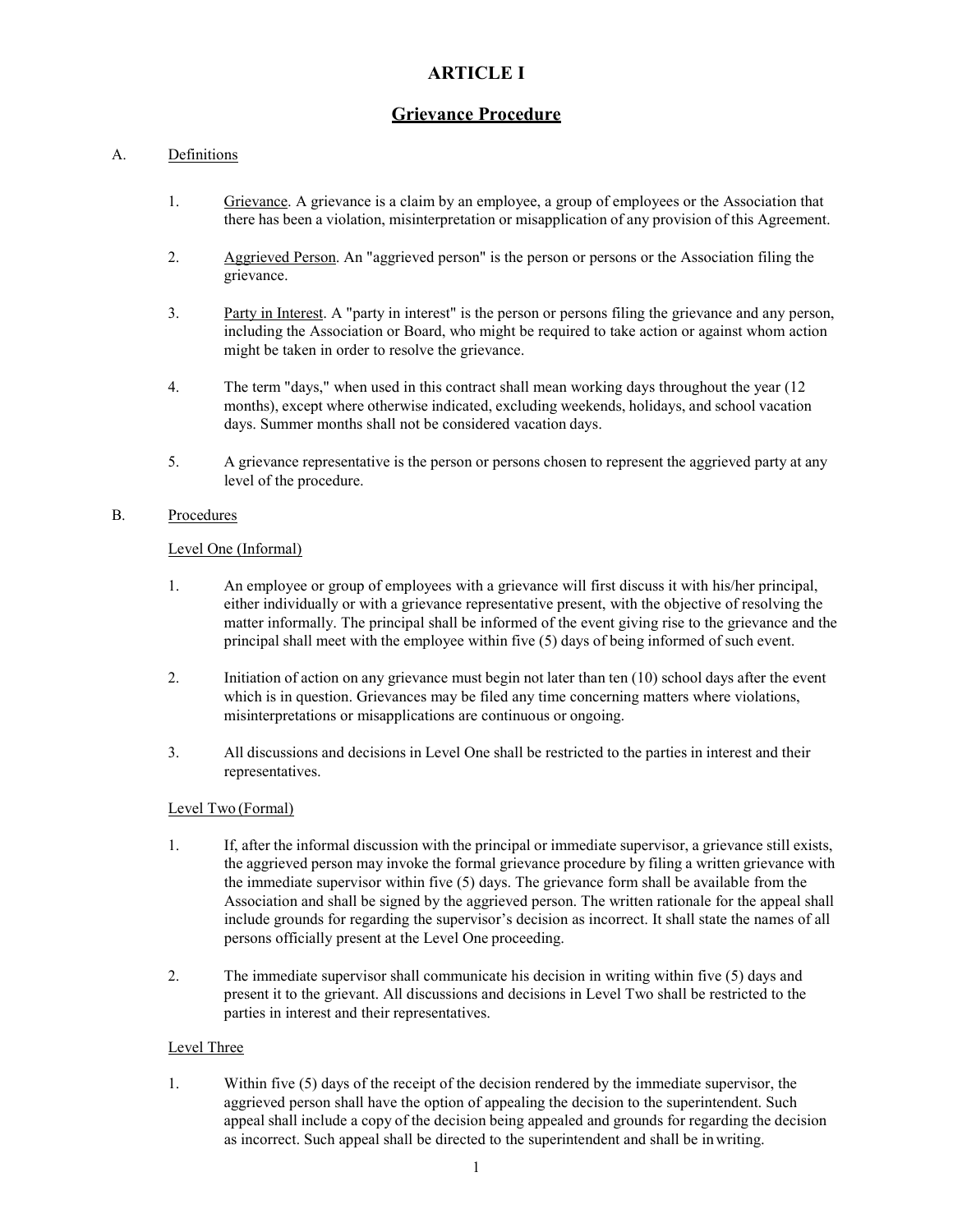# **ARTICLE I**

# **Grievance Procedure**

#### A. Definitions

- 1. Grievance. A grievance is a claim by an employee, a group of employees or the Association that there has been a violation, misinterpretation or misapplication of any provision of this Agreement.
- 2. Aggrieved Person. An "aggrieved person" is the person or persons or the Association filing the grievance.
- 3. Party in Interest. A "party in interest" is the person or persons filing the grievance and any person, including the Association or Board, who might be required to take action or against whom action might be taken in order to resolve the grievance.
- 4. The term "days," when used in this contract shall mean working days throughout the year (12 months), except where otherwise indicated, excluding weekends, holidays, and school vacation days. Summer months shall not be considered vacation days.
- 5. A grievance representative is the person or persons chosen to represent the aggrieved party at any level of the procedure.

#### B. Procedures

#### Level One (Informal)

- 1. An employee or group of employees with a grievance will first discuss it with his/her principal, either individually or with a grievance representative present, with the objective of resolving the matter informally. The principal shall be informed of the event giving rise to the grievance and the principal shall meet with the employee within five (5) days of being informed of such event.
- 2. Initiation of action on any grievance must begin not later than ten (10) school days after the event which is in question. Grievances may be filed any time concerning matters where violations, misinterpretations or misapplications are continuous or ongoing.
- 3. All discussions and decisions in Level One shall be restricted to the parties in interest and their representatives.

#### Level Two (Formal)

- 1. If, after the informal discussion with the principal or immediate supervisor, a grievance still exists, the aggrieved person may invoke the formal grievance procedure by filing a written grievance with the immediate supervisor within five (5) days. The grievance form shall be available from the Association and shall be signed by the aggrieved person. The written rationale for the appeal shall include grounds for regarding the supervisor's decision as incorrect. It shall state the names of all persons officially present at the Level One proceeding.
- 2. The immediate supervisor shall communicate his decision in writing within five (5) days and present it to the grievant. All discussions and decisions in Level Two shall be restricted to the parties in interest and their representatives.

#### Level Three

1. Within five (5) days of the receipt of the decision rendered by the immediate supervisor, the aggrieved person shall have the option of appealing the decision to the superintendent. Such appeal shall include a copy of the decision being appealed and grounds for regarding the decision as incorrect. Such appeal shall be directed to the superintendent and shall be inwriting.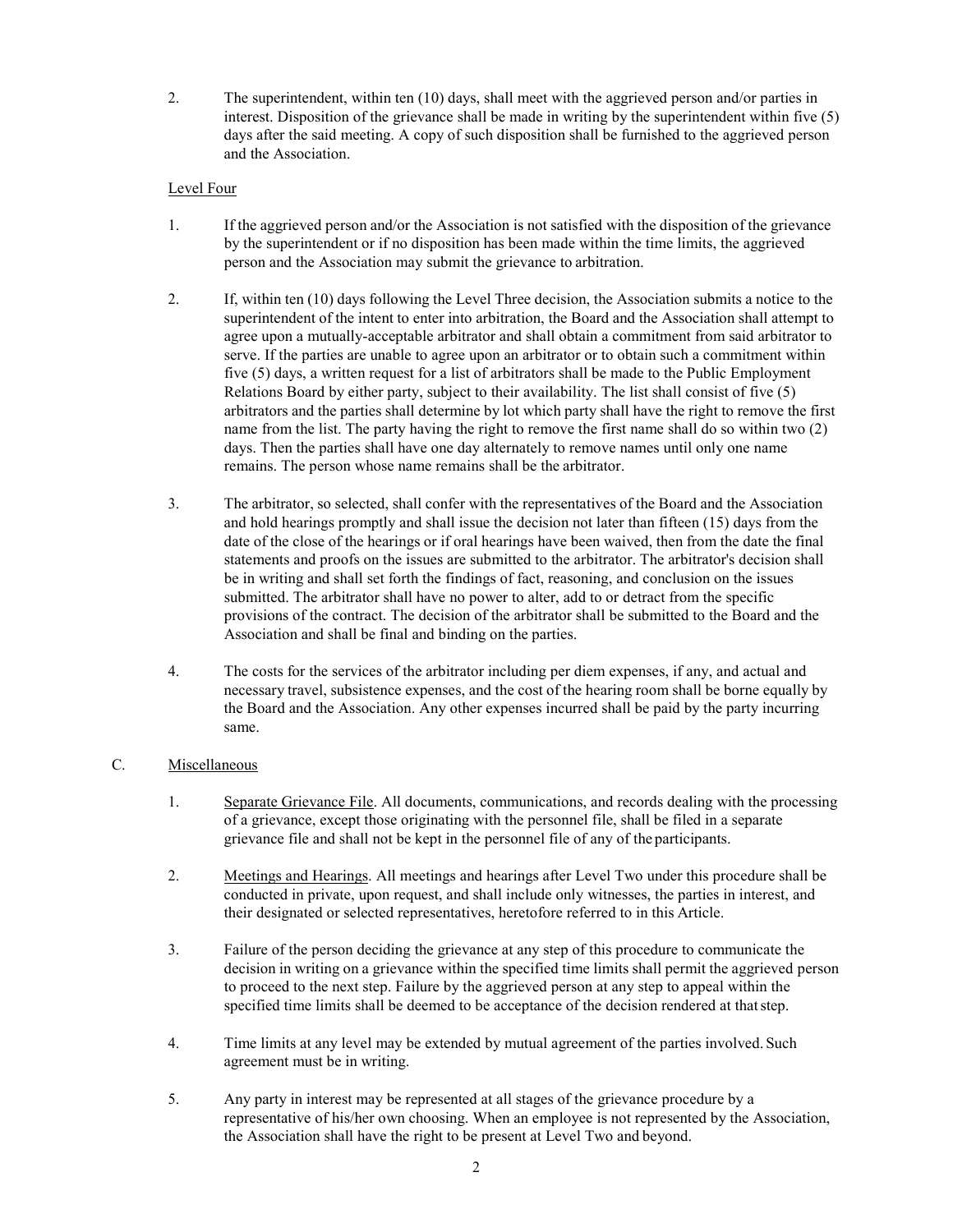2. The superintendent, within ten (10) days, shall meet with the aggrieved person and/or parties in interest. Disposition of the grievance shall be made in writing by the superintendent within five (5) days after the said meeting. A copy of such disposition shall be furnished to the aggrieved person and the Association.

#### Level Four

- 1. If the aggrieved person and/or the Association is not satisfied with the disposition of the grievance by the superintendent or if no disposition has been made within the time limits, the aggrieved person and the Association may submit the grievance to arbitration.
- 2. If, within ten (10) days following the Level Three decision, the Association submits a notice to the superintendent of the intent to enter into arbitration, the Board and the Association shall attempt to agree upon a mutually-acceptable arbitrator and shall obtain a commitment from said arbitrator to serve. If the parties are unable to agree upon an arbitrator or to obtain such a commitment within five (5) days, a written request for a list of arbitrators shall be made to the Public Employment Relations Board by either party, subject to their availability. The list shall consist of five (5) arbitrators and the parties shall determine by lot which party shall have the right to remove the first name from the list. The party having the right to remove the first name shall do so within two (2) days. Then the parties shall have one day alternately to remove names until only one name remains. The person whose name remains shall be the arbitrator.
- 3. The arbitrator, so selected, shall confer with the representatives of the Board and the Association and hold hearings promptly and shall issue the decision not later than fifteen (15) days from the date of the close of the hearings or if oral hearings have been waived, then from the date the final statements and proofs on the issues are submitted to the arbitrator. The arbitrator's decision shall be in writing and shall set forth the findings of fact, reasoning, and conclusion on the issues submitted. The arbitrator shall have no power to alter, add to or detract from the specific provisions of the contract. The decision of the arbitrator shall be submitted to the Board and the Association and shall be final and binding on the parties.
- 4. The costs for the services of the arbitrator including per diem expenses, if any, and actual and necessary travel, subsistence expenses, and the cost of the hearing room shall be borne equally by the Board and the Association. Any other expenses incurred shall be paid by the party incurring same.

#### C. Miscellaneous

- 1. Separate Grievance File. All documents, communications, and records dealing with the processing of a grievance, except those originating with the personnel file, shall be filed in a separate grievance file and shall not be kept in the personnel file of any of the participants.
- 2. Meetings and Hearings. All meetings and hearings after Level Two under this procedure shall be conducted in private, upon request, and shall include only witnesses, the parties in interest, and their designated or selected representatives, heretofore referred to in this Article.
- 3. Failure of the person deciding the grievance at any step of this procedure to communicate the decision in writing on a grievance within the specified time limits shall permit the aggrieved person to proceed to the next step. Failure by the aggrieved person at any step to appeal within the specified time limits shall be deemed to be acceptance of the decision rendered at thatstep.
- 4. Time limits at any level may be extended by mutual agreement of the parties involved. Such agreement must be in writing.
- 5. Any party in interest may be represented at all stages of the grievance procedure by a representative of his/her own choosing. When an employee is not represented by the Association, the Association shall have the right to be present at Level Two and beyond.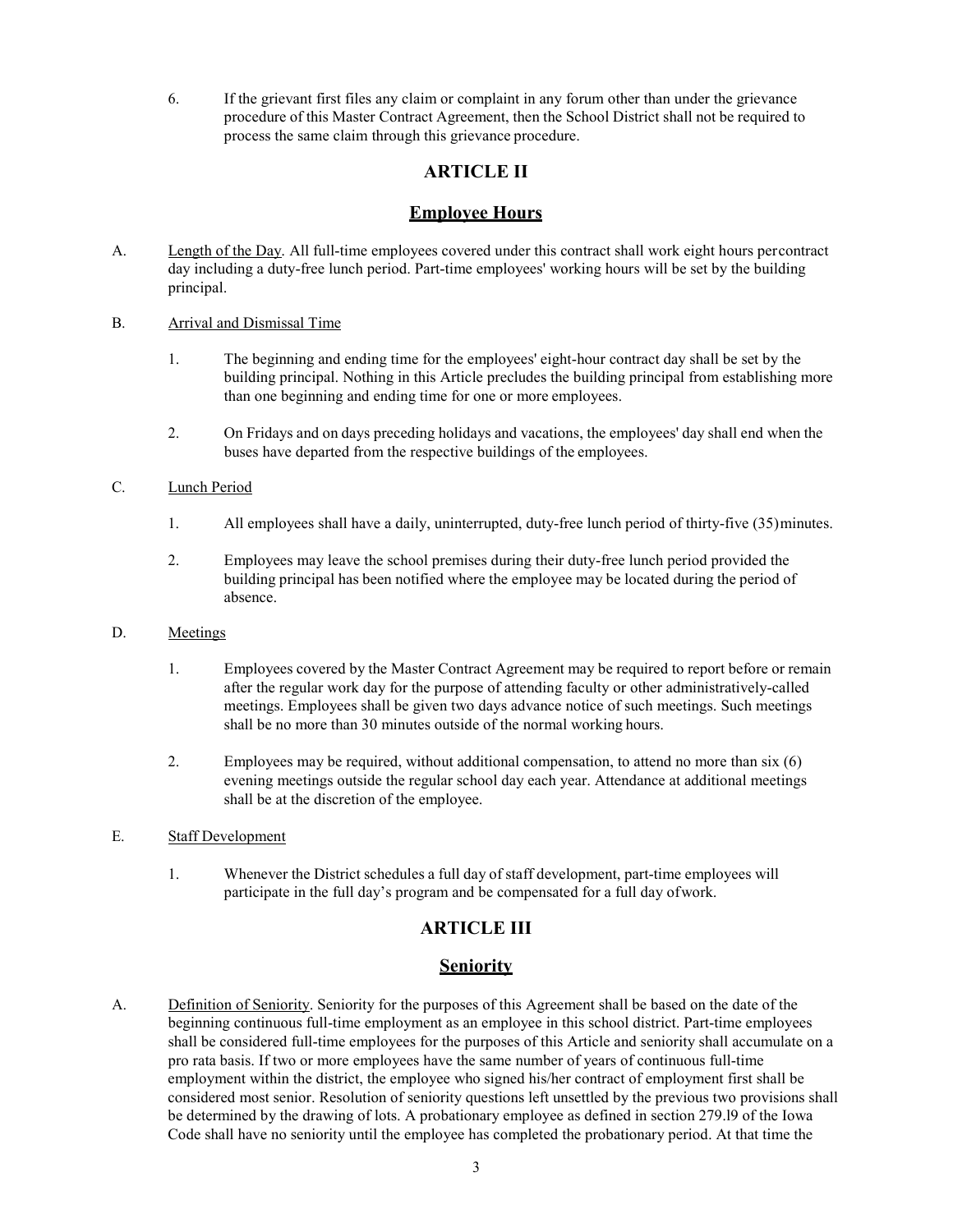6. If the grievant first files any claim or complaint in any forum other than under the grievance procedure of this Master Contract Agreement, then the School District shall not be required to process the same claim through this grievance procedure.

# **ARTICLE II**

# **Employee Hours**

- A. Length of the Day. All full-time employees covered under this contract shall work eight hours percontract day including a duty-free lunch period. Part-time employees' working hours will be set by the building principal.
- B. Arrival and Dismissal Time
	- 1. The beginning and ending time for the employees' eight-hour contract day shall be set by the building principal. Nothing in this Article precludes the building principal from establishing more than one beginning and ending time for one or more employees.
	- 2. On Fridays and on days preceding holidays and vacations, the employees' day shall end when the buses have departed from the respective buildings of the employees.

#### C. Lunch Period

- 1. All employees shall have a daily, uninterrupted, duty-free lunch period of thirty-five (35)minutes.
- 2. Employees may leave the school premises during their duty-free lunch period provided the building principal has been notified where the employee may be located during the period of absence.
- D. Meetings
	- 1. Employees covered by the Master Contract Agreement may be required to report before or remain after the regular work day for the purpose of attending faculty or other administratively-called meetings. Employees shall be given two days advance notice of such meetings. Such meetings shall be no more than 30 minutes outside of the normal working hours.
	- 2. Employees may be required, without additional compensation, to attend no more than six (6) evening meetings outside the regular school day each year. Attendance at additional meetings shall be at the discretion of the employee.
- E. Staff Development
	- 1. Whenever the District schedules a full day of staff development, part-time employees will participate in the full day's program and be compensated for a full day ofwork.

# **ARTICLE III**

# **Seniority**

A. Definition of Seniority. Seniority for the purposes of this Agreement shall be based on the date of the beginning continuous full-time employment as an employee in this school district. Part-time employees shall be considered full-time employees for the purposes of this Article and seniority shall accumulate on a pro rata basis. If two or more employees have the same number of years of continuous full-time employment within the district, the employee who signed his/her contract of employment first shall be considered most senior. Resolution of seniority questions left unsettled by the previous two provisions shall be determined by the drawing of lots. A probationary employee as defined in section 279.l9 of the Iowa Code shall have no seniority until the employee has completed the probationary period. At that time the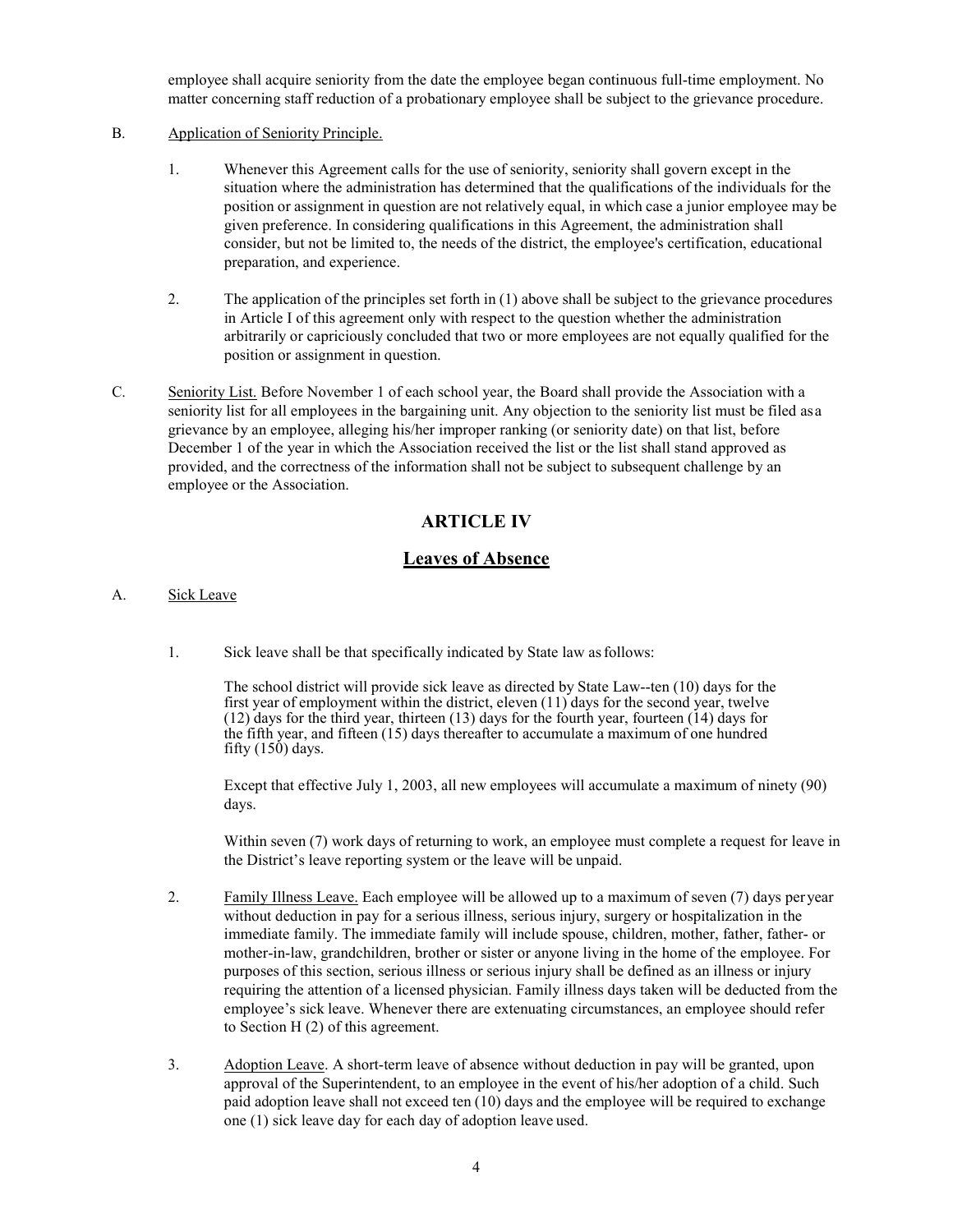employee shall acquire seniority from the date the employee began continuous full-time employment. No matter concerning staff reduction of a probationary employee shall be subject to the grievance procedure.

- B. Application of Seniority Principle.
	- 1. Whenever this Agreement calls for the use of seniority, seniority shall govern except in the situation where the administration has determined that the qualifications of the individuals for the position or assignment in question are not relatively equal, in which case a junior employee may be given preference. In considering qualifications in this Agreement, the administration shall consider, but not be limited to, the needs of the district, the employee's certification, educational preparation, and experience.
	- 2. The application of the principles set forth in (1) above shall be subject to the grievance procedures in Article I of this agreement only with respect to the question whether the administration arbitrarily or capriciously concluded that two or more employees are not equally qualified for the position or assignment in question.
- C. Seniority List. Before November 1 of each school year, the Board shall provide the Association with a seniority list for all employees in the bargaining unit. Any objection to the seniority list must be filed asa grievance by an employee, alleging his/her improper ranking (or seniority date) on that list, before December 1 of the year in which the Association received the list or the list shall stand approved as provided, and the correctness of the information shall not be subject to subsequent challenge by an employee or the Association.

# **ARTICLE IV**

# **Leaves of Absence**

- A. Sick Leave
	- 1. Sick leave shall be that specifically indicated by State law asfollows:

The school district will provide sick leave as directed by State Law--ten (10) days for the first year of employment within the district, eleven  $(11)$  days for the second year, twelve (12) days for the third year, thirteen (13) days for the fourth year, fourteen (14) days for the fifth year, and fifteen (15) days thereafter to accumulate a maximum of one hundred fifty (150) days.

Except that effective July 1, 2003, all new employees will accumulate a maximum of ninety (90) days.

Within seven (7) work days of returning to work, an employee must complete a request for leave in the District's leave reporting system or the leave will be unpaid.

- 2. Family Illness Leave. Each employee will be allowed up to a maximum of seven (7) days peryear without deduction in pay for a serious illness, serious injury, surgery or hospitalization in the immediate family. The immediate family will include spouse, children, mother, father, father- or mother-in-law, grandchildren, brother or sister or anyone living in the home of the employee. For purposes of this section, serious illness or serious injury shall be defined as an illness or injury requiring the attention of a licensed physician. Family illness days taken will be deducted from the employee's sick leave. Whenever there are extenuating circumstances, an employee should refer to Section H (2) of this agreement.
- 3. Adoption Leave. A short-term leave of absence without deduction in pay will be granted, upon approval of the Superintendent, to an employee in the event of his/her adoption of a child. Such paid adoption leave shall not exceed ten (10) days and the employee will be required to exchange one (1) sick leave day for each day of adoption leave used.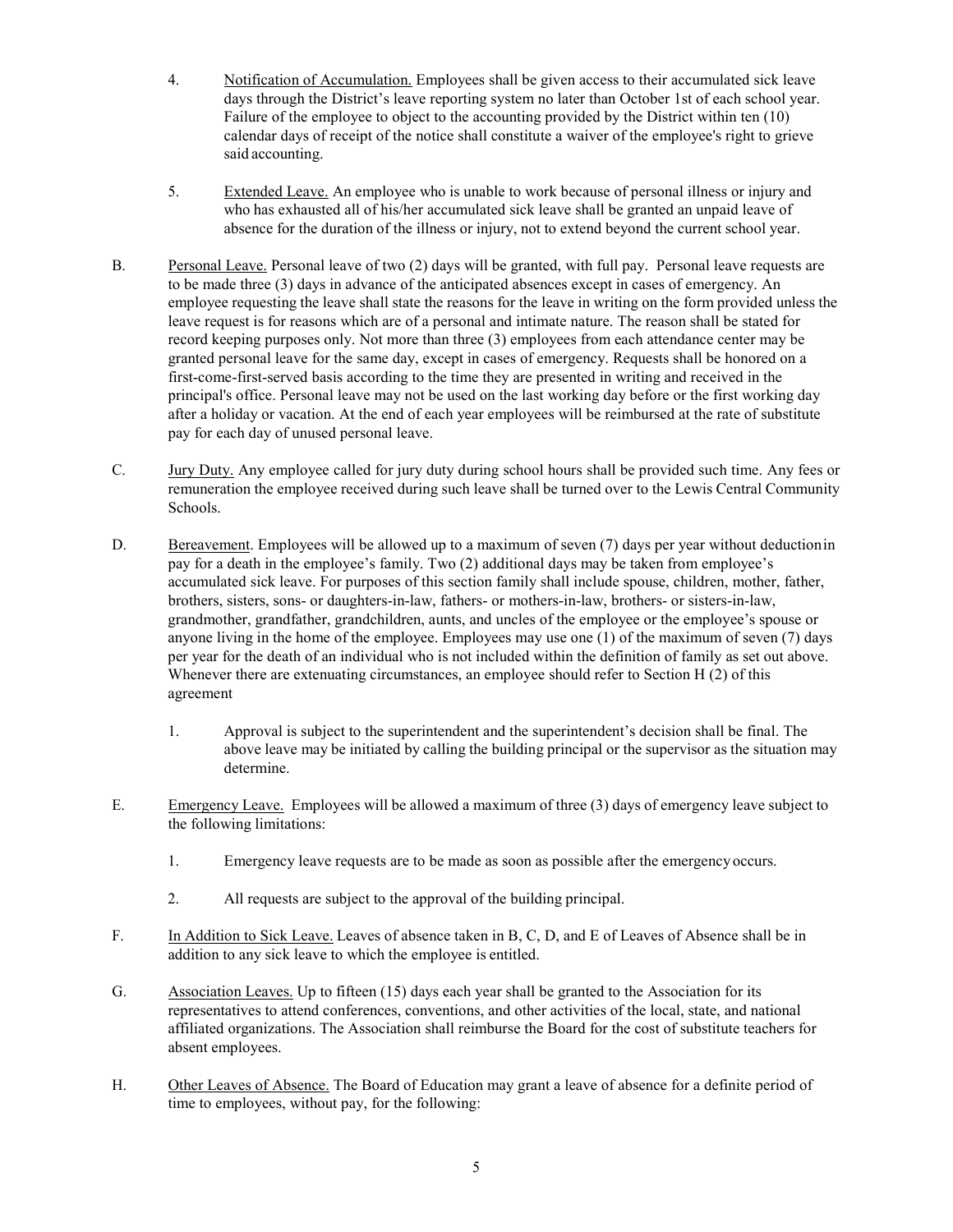- 4. Notification of Accumulation. Employees shall be given access to their accumulated sick leave days through the District's leave reporting system no later than October 1st of each school year. Failure of the employee to object to the accounting provided by the District within ten (10) calendar days of receipt of the notice shall constitute a waiver of the employee's right to grieve said accounting.
- 5. Extended Leave. An employee who is unable to work because of personal illness or injury and who has exhausted all of his/her accumulated sick leave shall be granted an unpaid leave of absence for the duration of the illness or injury, not to extend beyond the current school year.
- B. Personal Leave. Personal leave of two (2) days will be granted, with full pay. Personal leave requests are to be made three (3) days in advance of the anticipated absences except in cases of emergency. An employee requesting the leave shall state the reasons for the leave in writing on the form provided unless the leave request is for reasons which are of a personal and intimate nature. The reason shall be stated for record keeping purposes only. Not more than three (3) employees from each attendance center may be granted personal leave for the same day, except in cases of emergency. Requests shall be honored on a first-come-first-served basis according to the time they are presented in writing and received in the principal's office. Personal leave may not be used on the last working day before or the first working day after a holiday or vacation. At the end of each year employees will be reimbursed at the rate of substitute pay for each day of unused personal leave.
- C. Jury Duty. Any employee called for jury duty during school hours shall be provided such time. Any fees or remuneration the employee received during such leave shall be turned over to the Lewis Central Community Schools.
- D. Bereavement. Employees will be allowed up to a maximum of seven (7) days per year without deduction in pay for a death in the employee's family. Two (2) additional days may be taken from employee's accumulated sick leave. For purposes of this section family shall include spouse, children, mother, father, brothers, sisters, sons- or daughters-in-law, fathers- or mothers-in-law, brothers- or sisters-in-law, grandmother, grandfather, grandchildren, aunts, and uncles of the employee or the employee's spouse or anyone living in the home of the employee. Employees may use one (1) of the maximum of seven (7) days per year for the death of an individual who is not included within the definition of family as set out above. Whenever there are extenuating circumstances, an employee should refer to Section H (2) of this agreement
	- 1. Approval is subject to the superintendent and the superintendent's decision shall be final. The above leave may be initiated by calling the building principal or the supervisor as the situation may determine.
- E. Emergency Leave. Employees will be allowed a maximum of three (3) days of emergency leave subject to the following limitations:
	- 1. Emergency leave requests are to be made as soon as possible after the emergencyoccurs.
	- 2. All requests are subject to the approval of the building principal.
- F. In Addition to Sick Leave. Leaves of absence taken in B, C, D, and E of Leaves of Absence shall be in addition to any sick leave to which the employee is entitled.
- G. Association Leaves. Up to fifteen (15) days each year shall be granted to the Association for its representatives to attend conferences, conventions, and other activities of the local, state, and national affiliated organizations. The Association shall reimburse the Board for the cost of substitute teachers for absent employees.
- H. Other Leaves of Absence. The Board of Education may grant a leave of absence for a definite period of time to employees, without pay, for the following: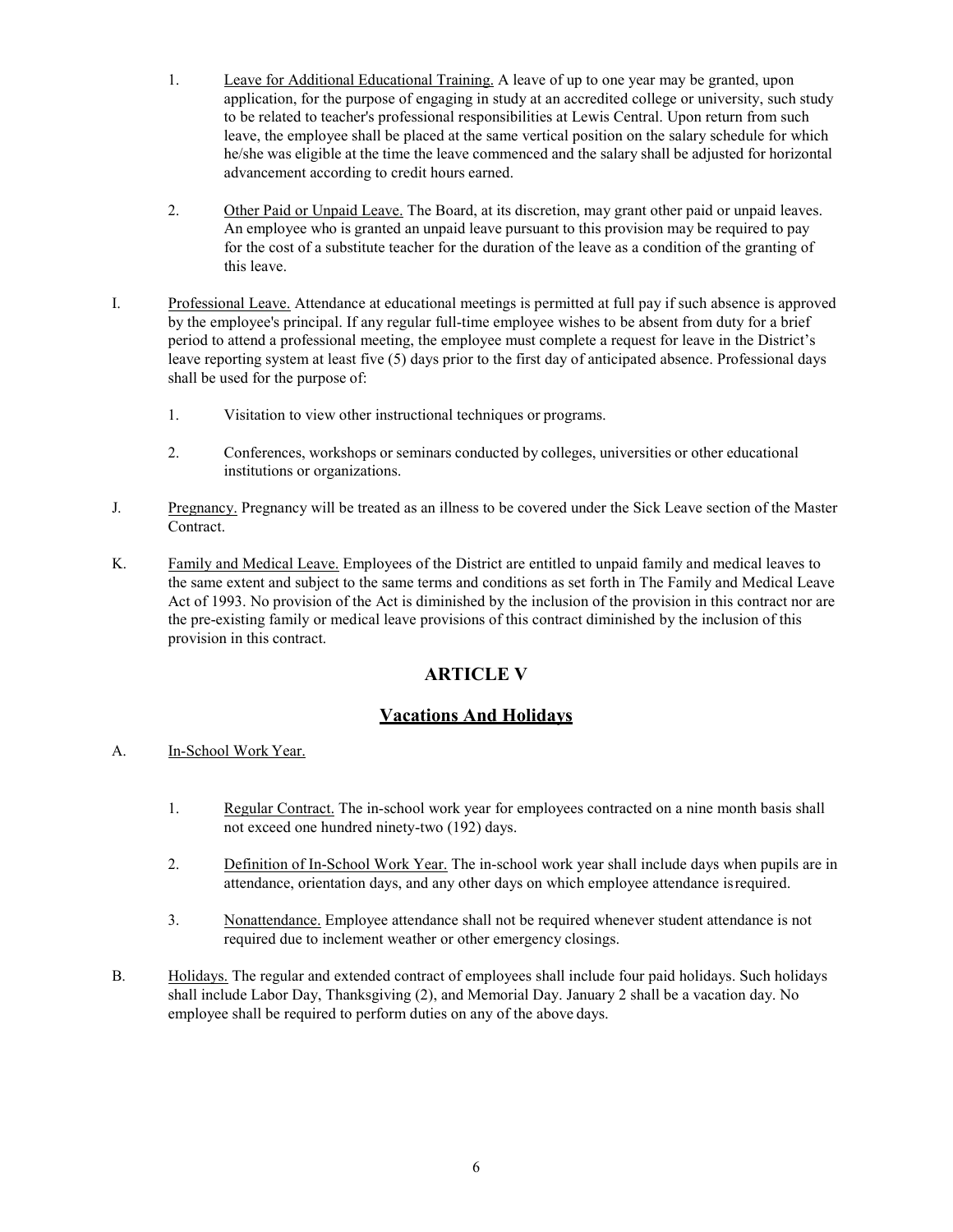- 1. Leave for Additional Educational Training. A leave of up to one year may be granted, upon application, for the purpose of engaging in study at an accredited college or university, such study to be related to teacher's professional responsibilities at Lewis Central. Upon return from such leave, the employee shall be placed at the same vertical position on the salary schedule for which he/she was eligible at the time the leave commenced and the salary shall be adjusted for horizontal advancement according to credit hours earned.
- 2. Other Paid or Unpaid Leave. The Board, at its discretion, may grant other paid or unpaid leaves. An employee who is granted an unpaid leave pursuant to this provision may be required to pay for the cost of a substitute teacher for the duration of the leave as a condition of the granting of this leave.
- I. Professional Leave. Attendance at educational meetings is permitted at full pay if such absence is approved by the employee's principal. If any regular full-time employee wishes to be absent from duty for a brief period to attend a professional meeting, the employee must complete a request for leave in the District's leave reporting system at least five (5) days prior to the first day of anticipated absence. Professional days shall be used for the purpose of:
	- 1. Visitation to view other instructional techniques or programs.
	- 2. Conferences, workshops or seminars conducted by colleges, universities or other educational institutions or organizations.
- J. Pregnancy. Pregnancy will be treated as an illness to be covered under the Sick Leave section of the Master Contract.
- K. Family and Medical Leave. Employees of the District are entitled to unpaid family and medical leaves to the same extent and subject to the same terms and conditions as set forth in The Family and Medical Leave Act of 1993. No provision of the Act is diminished by the inclusion of the provision in this contract nor are the pre-existing family or medical leave provisions of this contract diminished by the inclusion of this provision in this contract.

# **ARTICLE V**

# **Vacations And Holidays**

- A. In-School Work Year.
	- 1. Regular Contract. The in-school work year for employees contracted on a nine month basis shall not exceed one hundred ninety-two (192) days.
	- 2. Definition of In-School Work Year. The in-school work year shall include days when pupils are in attendance, orientation days, and any other days on which employee attendance isrequired.
	- 3. Nonattendance. Employee attendance shall not be required whenever student attendance is not required due to inclement weather or other emergency closings.
- B. Holidays. The regular and extended contract of employees shall include four paid holidays. Such holidays shall include Labor Day, Thanksgiving (2), and Memorial Day. January 2 shall be a vacation day. No employee shall be required to perform duties on any of the above days.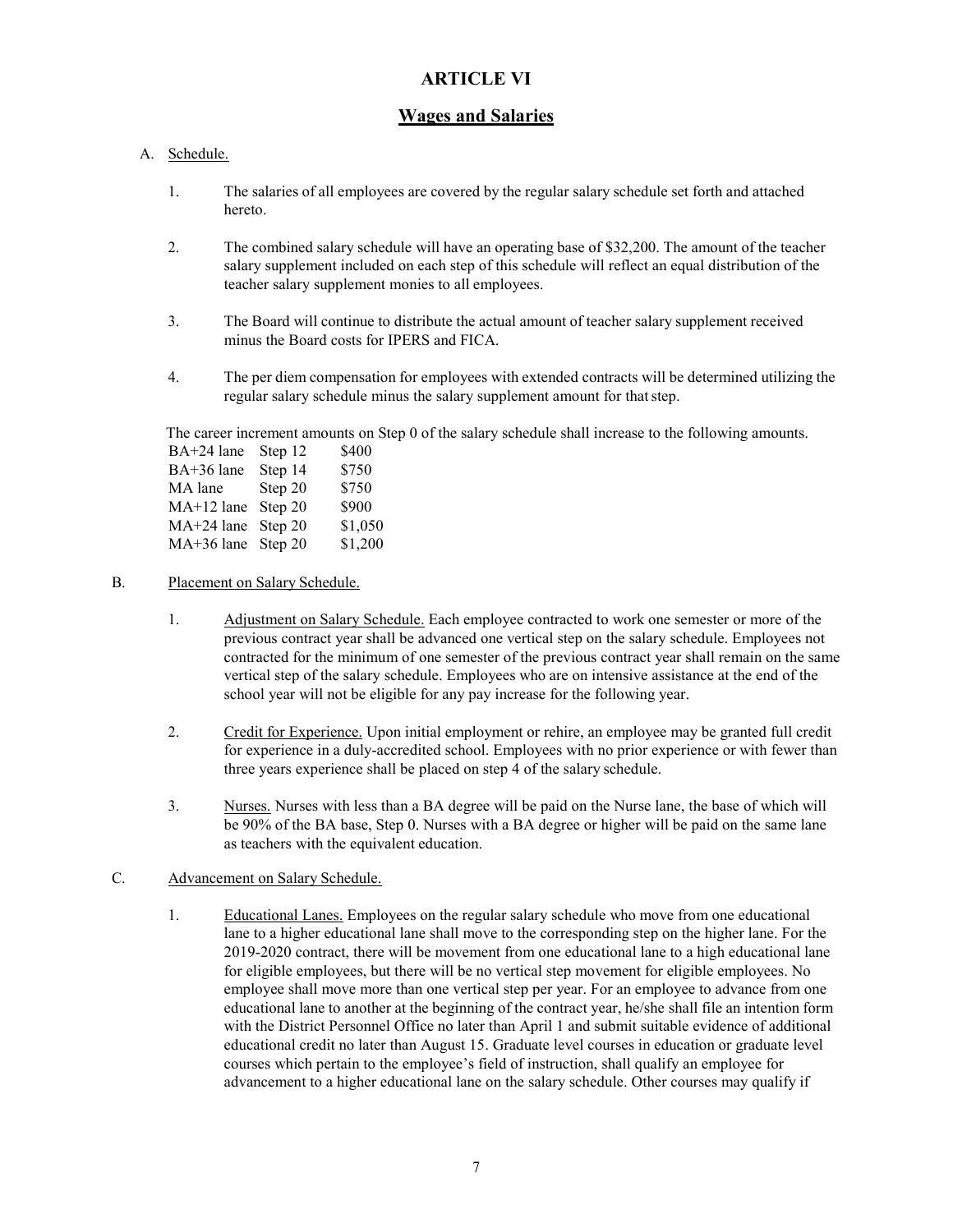# **ARTICLE VI**

#### **Wages and Salaries**

#### A. Schedule.

- 1. The salaries of all employees are covered by the regular salary schedule set forth and attached hereto.
- 2. The combined salary schedule will have an operating base of \$32,200. The amount of the teacher salary supplement included on each step of this schedule will reflect an equal distribution of the teacher salary supplement monies to all employees.
- 3. The Board will continue to distribute the actual amount of teacher salary supplement received minus the Board costs for IPERS and FICA.
- 4. The per diem compensation for employees with extended contracts will be determined utilizing the regular salary schedule minus the salary supplement amount for that step.

The career increment amounts on Step 0 of the salary schedule shall increase to the following amounts.

| BA+24 lane           | Step 12 | \$400   |
|----------------------|---------|---------|
| BA+36 lane           | Step 14 | \$750   |
| MA lane              | Step 20 | \$750   |
| MA+12 lane           | Step 20 | \$900   |
| $MA+24$ lane         | Step 20 | \$1,050 |
| $MA+36$ lane Step 20 |         | \$1,200 |
|                      |         |         |

#### B. Placement on Salary Schedule.

- 1. Adjustment on Salary Schedule. Each employee contracted to work one semester or more of the previous contract year shall be advanced one vertical step on the salary schedule. Employees not contracted for the minimum of one semester of the previous contract year shall remain on the same vertical step of the salary schedule. Employees who are on intensive assistance at the end of the school year will not be eligible for any pay increase for the following year.
- 2. Credit for Experience. Upon initial employment or rehire, an employee may be granted full credit for experience in a duly-accredited school. Employees with no prior experience or with fewer than three years experience shall be placed on step 4 of the salary schedule.
- 3. Nurses. Nurses with less than a BA degree will be paid on the Nurse lane, the base of which will be 90% of the BA base, Step 0. Nurses with a BA degree or higher will be paid on the same lane as teachers with the equivalent education.

#### C. Advancement on Salary Schedule.

1. Educational Lanes. Employees on the regular salary schedule who move from one educational lane to a higher educational lane shall move to the corresponding step on the higher lane. For the 2019-2020 contract, there will be movement from one educational lane to a high educational lane for eligible employees, but there will be no vertical step movement for eligible employees. No employee shall move more than one vertical step per year. For an employee to advance from one educational lane to another at the beginning of the contract year, he/she shall file an intention form with the District Personnel Office no later than April 1 and submit suitable evidence of additional educational credit no later than August 15. Graduate level courses in education or graduate level courses which pertain to the employee's field of instruction, shall qualify an employee for advancement to a higher educational lane on the salary schedule. Other courses may qualify if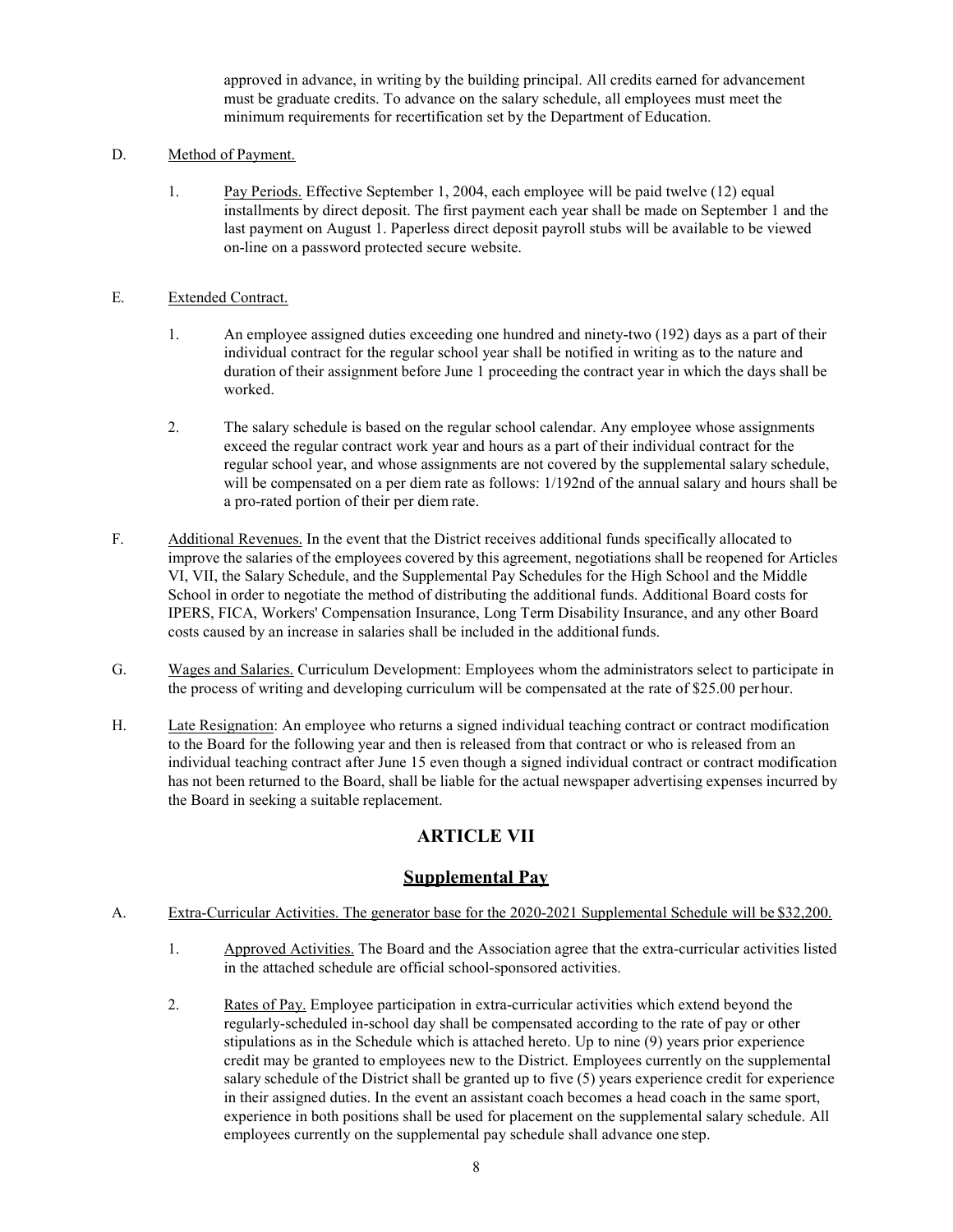approved in advance, in writing by the building principal. All credits earned for advancement must be graduate credits. To advance on the salary schedule, all employees must meet the minimum requirements for recertification set by the Department of Education.

#### D. Method of Payment.

1. Pay Periods. Effective September 1, 2004, each employee will be paid twelve (12) equal installments by direct deposit. The first payment each year shall be made on September 1 and the last payment on August 1. Paperless direct deposit payroll stubs will be available to be viewed on-line on a password protected secure website.

#### E. Extended Contract.

- 1. An employee assigned duties exceeding one hundred and ninety-two (192) days as a part of their individual contract for the regular school year shall be notified in writing as to the nature and duration of their assignment before June 1 proceeding the contract year in which the days shall be worked.
- 2. The salary schedule is based on the regular school calendar. Any employee whose assignments exceed the regular contract work year and hours as a part of their individual contract for the regular school year, and whose assignments are not covered by the supplemental salary schedule, will be compensated on a per diem rate as follows: 1/192nd of the annual salary and hours shall be a pro-rated portion of their per diem rate.
- F. Additional Revenues. In the event that the District receives additional funds specifically allocated to improve the salaries of the employees covered by this agreement, negotiations shall be reopened for Articles VI, VII, the Salary Schedule, and the Supplemental Pay Schedules for the High School and the Middle School in order to negotiate the method of distributing the additional funds. Additional Board costs for IPERS, FICA, Workers' Compensation Insurance, Long Term Disability Insurance, and any other Board costs caused by an increase in salaries shall be included in the additional funds.
- G. Wages and Salaries. Curriculum Development: Employees whom the administrators select to participate in the process of writing and developing curriculum will be compensated at the rate of \$25.00 perhour.
- H. Late Resignation: An employee who returns a signed individual teaching contract or contract modification to the Board for the following year and then is released from that contract or who is released from an individual teaching contract after June 15 even though a signed individual contract or contract modification has not been returned to the Board, shall be liable for the actual newspaper advertising expenses incurred by the Board in seeking a suitable replacement.

# **ARTICLE VII**

# **Supplemental Pay**

#### A. Extra-Curricular Activities. The generator base for the 2020-2021 Supplemental Schedule will be \$32,200.

- 1. Approved Activities. The Board and the Association agree that the extra-curricular activities listed in the attached schedule are official school-sponsored activities.
- 2. Rates of Pay. Employee participation in extra-curricular activities which extend beyond the regularly-scheduled in-school day shall be compensated according to the rate of pay or other stipulations as in the Schedule which is attached hereto. Up to nine (9) years prior experience credit may be granted to employees new to the District. Employees currently on the supplemental salary schedule of the District shall be granted up to five (5) years experience credit for experience in their assigned duties. In the event an assistant coach becomes a head coach in the same sport, experience in both positions shall be used for placement on the supplemental salary schedule. All employees currently on the supplemental pay schedule shall advance one step.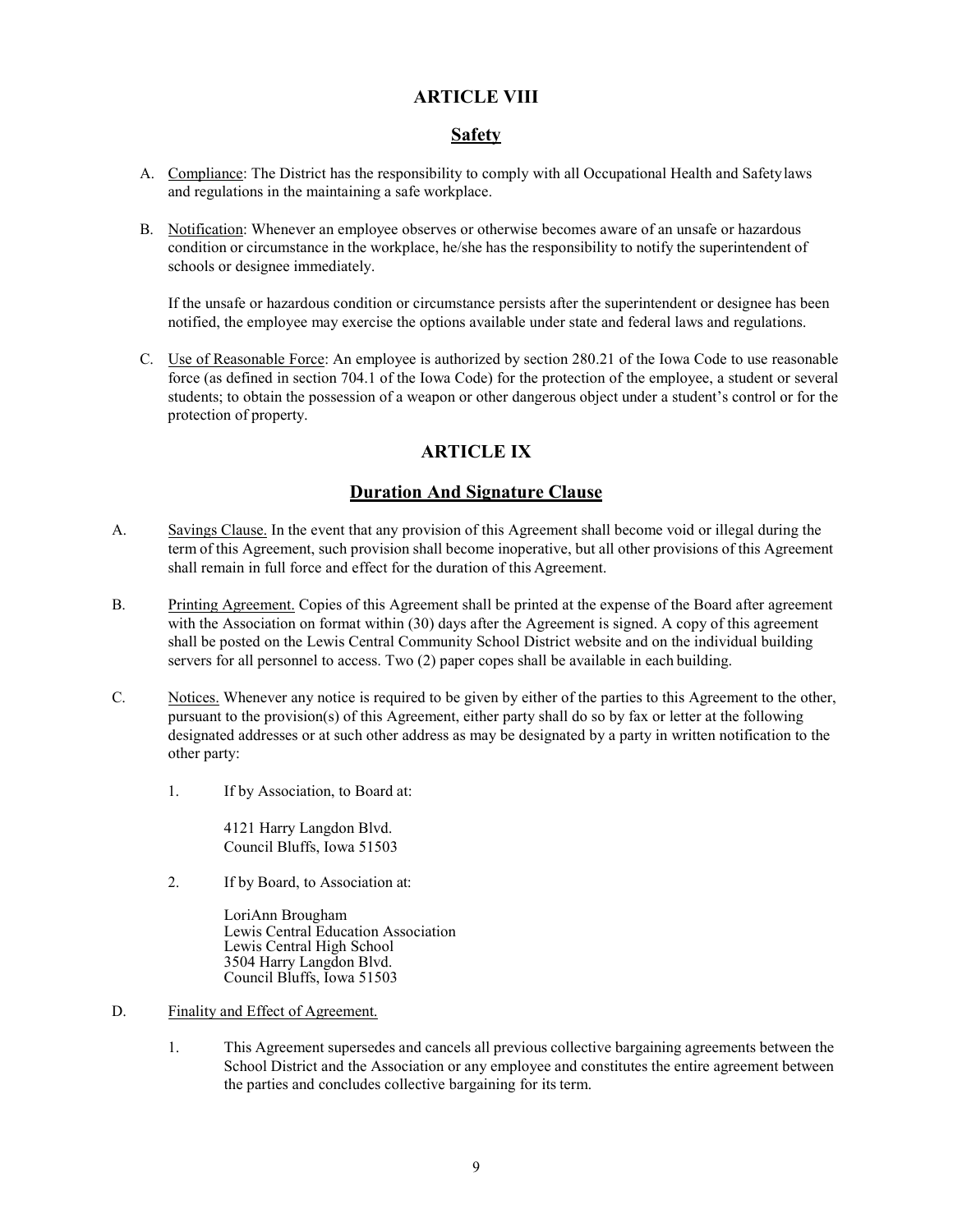#### **ARTICLE VIII**

#### **Safety**

- A. Compliance: The District has the responsibility to comply with all Occupational Health and Safetylaws and regulations in the maintaining a safe workplace.
- B. Notification: Whenever an employee observes or otherwise becomes aware of an unsafe or hazardous condition or circumstance in the workplace, he/she has the responsibility to notify the superintendent of schools or designee immediately.

If the unsafe or hazardous condition or circumstance persists after the superintendent or designee has been notified, the employee may exercise the options available under state and federal laws and regulations.

C. Use of Reasonable Force: An employee is authorized by section 280.21 of the Iowa Code to use reasonable force (as defined in section 704.1 of the Iowa Code) for the protection of the employee, a student or several students; to obtain the possession of a weapon or other dangerous object under a student's control or for the protection of property.

# **ARTICLE IX**

# **Duration And Signature Clause**

- A. Savings Clause. In the event that any provision of this Agreement shall become void or illegal during the term of this Agreement, such provision shall become inoperative, but all other provisions of this Agreement shall remain in full force and effect for the duration of this Agreement.
- B. Printing Agreement. Copies of this Agreement shall be printed at the expense of the Board after agreement with the Association on format within (30) days after the Agreement is signed. A copy of this agreement shall be posted on the Lewis Central Community School District website and on the individual building servers for all personnel to access. Two (2) paper copes shall be available in each building.
- C. Notices. Whenever any notice is required to be given by either of the parties to this Agreement to the other, pursuant to the provision(s) of this Agreement, either party shall do so by fax or letter at the following designated addresses or at such other address as may be designated by a party in written notification to the other party:
	- 1. If by Association, to Board at:

4121 Harry Langdon Blvd. Council Bluffs, Iowa 51503

2. If by Board, to Association at:

LoriAnn Brougham Lewis Central Education Association Lewis Central High School 3504 Harry Langdon Blvd. Council Bluffs, Iowa 51503

- D. Finality and Effect of Agreement.
	- 1. This Agreement supersedes and cancels all previous collective bargaining agreements between the School District and the Association or any employee and constitutes the entire agreement between the parties and concludes collective bargaining for its term.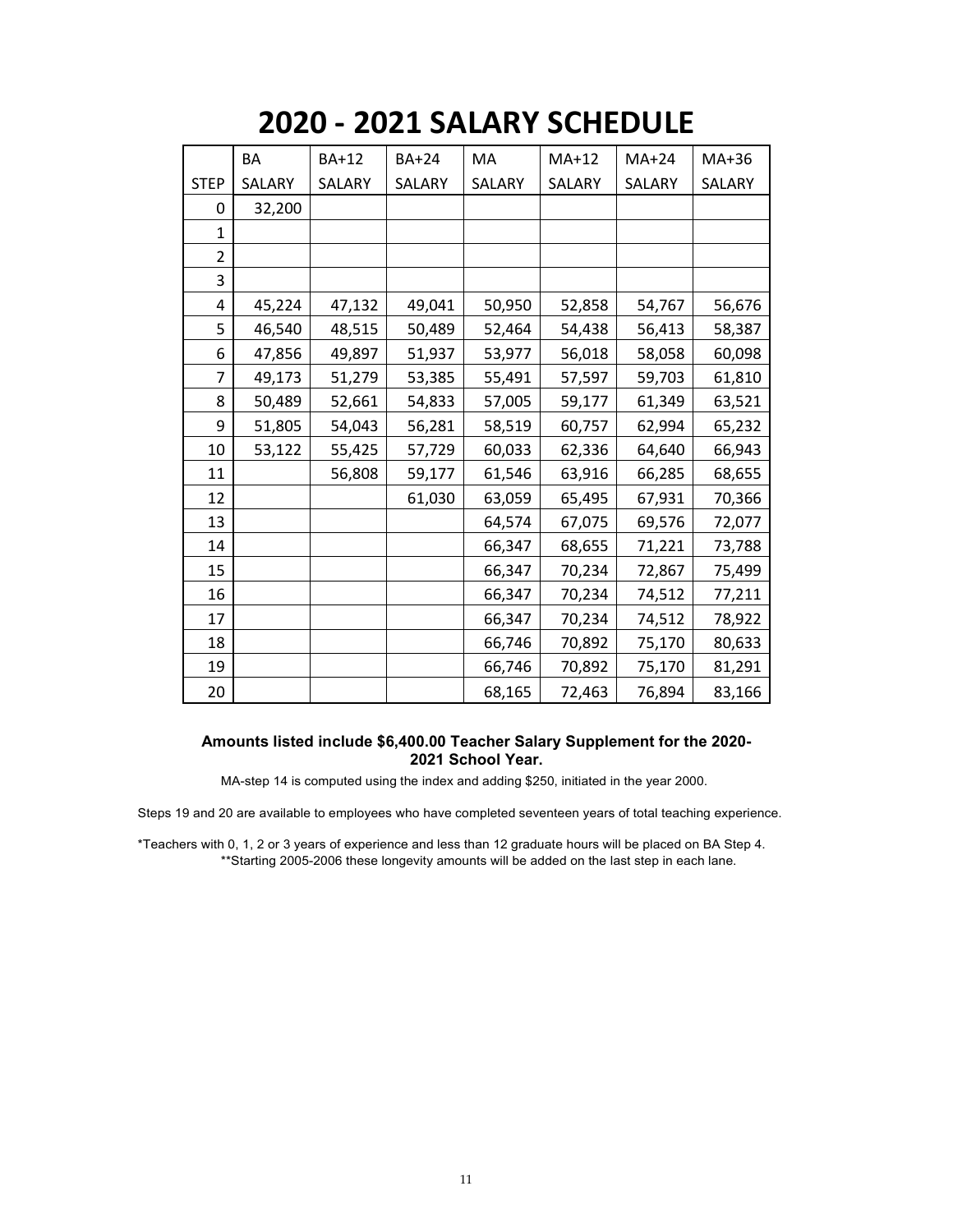# **2020 - 2021 SALARY SCHEDULE**

|                | <b>BA</b> | <b>BA+12</b> | <b>BA+24</b> | MA     | $MA+12$ | $MA+24$ | MA+36  |
|----------------|-----------|--------------|--------------|--------|---------|---------|--------|
| <b>STEP</b>    | SALARY    | SALARY       | SALARY       | SALARY | SALARY  | SALARY  | SALARY |
| 0              | 32,200    |              |              |        |         |         |        |
| $\mathbf{1}$   |           |              |              |        |         |         |        |
| $\overline{2}$ |           |              |              |        |         |         |        |
| 3              |           |              |              |        |         |         |        |
| 4              | 45,224    | 47,132       | 49,041       | 50,950 | 52,858  | 54,767  | 56,676 |
| 5              | 46,540    | 48,515       | 50,489       | 52,464 | 54,438  | 56,413  | 58,387 |
| 6              | 47,856    | 49,897       | 51,937       | 53,977 | 56,018  | 58,058  | 60,098 |
| 7              | 49,173    | 51,279       | 53,385       | 55,491 | 57,597  | 59,703  | 61,810 |
| 8              | 50,489    | 52,661       | 54,833       | 57,005 | 59,177  | 61,349  | 63,521 |
| 9              | 51,805    | 54,043       | 56,281       | 58,519 | 60,757  | 62,994  | 65,232 |
| 10             | 53,122    | 55,425       | 57,729       | 60,033 | 62,336  | 64,640  | 66,943 |
| 11             |           | 56,808       | 59,177       | 61,546 | 63,916  | 66,285  | 68,655 |
| 12             |           |              | 61,030       | 63,059 | 65,495  | 67,931  | 70,366 |
| 13             |           |              |              | 64,574 | 67,075  | 69,576  | 72,077 |
| 14             |           |              |              | 66,347 | 68,655  | 71,221  | 73,788 |
| 15             |           |              |              | 66,347 | 70,234  | 72,867  | 75,499 |
| 16             |           |              |              | 66,347 | 70,234  | 74,512  | 77,211 |
| 17             |           |              |              | 66,347 | 70,234  | 74,512  | 78,922 |
| 18             |           |              |              | 66,746 | 70,892  | 75,170  | 80,633 |
| 19             |           |              |              | 66,746 | 70,892  | 75,170  | 81,291 |
| 20             |           |              |              | 68,165 | 72,463  | 76,894  | 83,166 |

#### **Amounts listed include \$6,400.00 Teacher Salary Supplement for the 2020- 2021 School Year.**

MA-step 14 is computed using the index and adding \$250, initiated in the year 2000.

Steps 19 and 20 are available to employees who have completed seventeen years of total teaching experience.

\*Teachers with 0, 1, 2 or 3 years of experience and less than 12 graduate hours will be placed on BA Step 4. \*\*Starting 2005-2006 these longevity amounts will be added on the last step in each lane.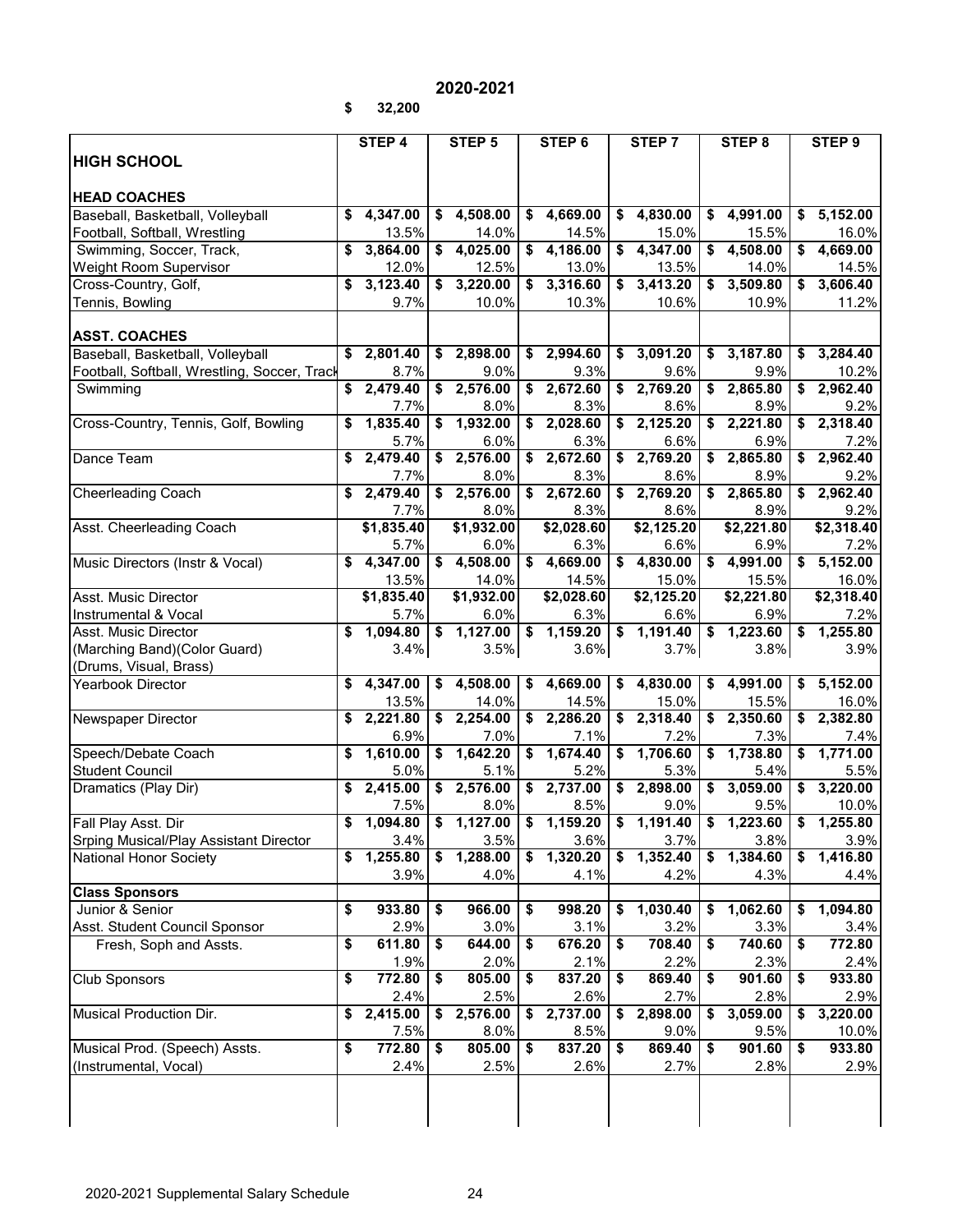# **2020-2021**

**\$ 32,200**

|                                              |    | STEP 4     |                      | STEP 5            | STEP 6                  |                      | STEP 7            |                      | STEP 8     |    | STEP 9                |
|----------------------------------------------|----|------------|----------------------|-------------------|-------------------------|----------------------|-------------------|----------------------|------------|----|-----------------------|
| <b>HIGH SCHOOL</b>                           |    |            |                      |                   |                         |                      |                   |                      |            |    |                       |
|                                              |    |            |                      |                   |                         |                      |                   |                      |            |    |                       |
| <b>HEAD COACHES</b>                          |    |            |                      |                   |                         |                      |                   |                      |            |    |                       |
| Baseball, Basketball, Volleyball             | \$ | 4,347.00   |                      | \$4,508.00        | \$4,669.00              |                      | \$4,830.00        |                      | \$4,991.00 | \$ | 5,152.00              |
| Football, Softball, Wrestling                |    | 13.5%      |                      | 14.0%             | 14.5%                   |                      | 15.0%             |                      | 15.5%      |    | 16.0%                 |
| Swimming, Soccer, Track,                     |    | 3,864.00   |                      | \$4,025.00        | \$4,186.00              |                      | \$4,347.00        |                      | \$4,508.00 | \$ | 4,669.00              |
| Weight Room Supervisor                       |    | 12.0%      |                      | 12.5%             | 13.0%                   |                      | 13.5%             |                      | 14.0%      |    | 14.5%                 |
| Cross-Country, Golf,                         | \$ | 3,123.40   |                      | \$3,220.00        | $\frac{1}{2}$ 3,316.60  | \$                   | 3,413.20          |                      | \$3,509.80 | \$ | 3,606.40              |
| Tennis, Bowling                              |    | 9.7%       |                      | 10.0%             | 10.3%                   |                      | 10.6%             |                      | 10.9%      |    | 11.2%                 |
|                                              |    |            |                      |                   |                         |                      |                   |                      |            |    |                       |
| <b>ASST. COACHES</b>                         |    |            |                      |                   |                         |                      |                   |                      |            |    |                       |
| Baseball, Basketball, Volleyball             |    | \$2,801.40 |                      | \$2,898.00        | \$2,994.60              |                      | \$3,091.20        |                      | \$3,187.80 | \$ | 3,284.40              |
| Football, Softball, Wrestling, Soccer, Track |    | 8.7%       |                      | 9.0%              | 9.3%                    |                      | 9.6%              |                      | 9.9%       |    | 10.2%                 |
|                                              |    | 2,479.40   |                      | \$2,576.00        | \$2,672.60              |                      | \$2,769.20        |                      | \$2,865.80 | \$ | 2,962.40              |
| Swimming                                     |    |            |                      |                   |                         |                      |                   |                      |            |    |                       |
|                                              |    | 7.7%       |                      | 8.0%              | 8.3%                    |                      | 8.6%              |                      | 8.9%       |    | 9.2%                  |
| Cross-Country, Tennis, Golf, Bowling         |    | 1,835.40   | \$                   | 1,932.00          | \$2,028.60              |                      | \$2,125.20        |                      | \$2,221.80 | \$ | 2,318.40              |
|                                              |    | 5.7%       |                      | 6.0%              | 6.3%                    |                      | 6.6%              |                      | 6.9%       |    | 7.2%                  |
| Dance Team                                   | \$ | 2,479.40   | \$                   | 2,576.00          | \$2,672.60              |                      | \$2,769.20        |                      | \$2,865.80 | \$ | 2,962.40              |
|                                              |    | 7.7%       |                      | 8.0%              | 8.3%                    |                      | 8.6%              |                      | 8.9%       |    | 9.2%                  |
| <b>Cheerleading Coach</b>                    |    | 2,479.40   |                      | $\sqrt{2,576.00}$ | \$2,672.60              |                      | \$2,769.20        |                      | \$2,865.80 |    | \$2,962.40            |
|                                              |    | 7.7%       |                      | 8.0%              | 8.3%                    |                      | 8.6%              |                      | 8.9%       |    | 9.2%                  |
| Asst. Cheerleading Coach                     |    | \$1,835.40 |                      | \$1,932.00        | \$2,028.60              |                      | \$2,125.20        |                      | \$2,221.80 |    | \$2,318.40            |
|                                              |    | 5.7%       |                      | 6.0%              | 6.3%                    |                      | 6.6%              |                      | 6.9%       |    | 7.2%                  |
| Music Directors (Instr & Vocal)              |    | 4,347.00   | \$                   | 4,508.00          | \$4,669.00              |                      | \$4,830.00        |                      | \$4,991.00 | \$ | 5,152.00              |
|                                              |    | 13.5%      |                      | 14.0%             | 14.5%                   |                      | 15.0%             |                      | 15.5%      |    | 16.0%                 |
| Asst. Music Director                         |    | \$1,835.40 |                      | \$1,932.00        | \$2,028.60              |                      | \$2,125.20        |                      | \$2,221.80 |    | \$2,318.40            |
| Instrumental & Vocal                         |    | 5.7%       |                      | 6.0%              | 6.3%                    |                      | 6.6%              |                      | 6.9%       |    | 7.2%                  |
| Asst. Music Director                         | \$ | 1,094.80   | $\overline{\bullet}$ | 1,127.00          | $$1,159.20$ \\$         |                      | 1,191.40          | $\overline{\bullet}$ | 1,223.60   | \$ | 1,255.80              |
| (Marching Band)(Color Guard)                 |    | 3.4%       |                      | 3.5%              | 3.6%                    |                      | 3.7%              |                      | 3.8%       |    | 3.9%                  |
| (Drums, Visual, Brass)                       |    |            |                      |                   |                         |                      |                   |                      |            |    |                       |
| <b>Yearbook Director</b>                     |    | 4,347.00   | \$                   | 4,508.00          | \$4,669.00              |                      | \$4,830.00        |                      | \$4,991.00 | \$ | 5,152.00              |
|                                              |    | 13.5%      |                      | 14.0%             | 14.5%                   |                      | 15.0%             |                      | 15.5%      |    | 16.0%                 |
| Newspaper Director                           | \$ | 2,221.80   | \$                   | 2,254.00          | \$2,286.20              |                      | $\sqrt{2,318.40}$ |                      | \$2,350.60 | \$ | 2,382.80              |
|                                              |    | 6.9%       |                      | 7.0%              | 7.1%                    |                      | 7.2%              |                      | 7.3%       |    | 7.4%                  |
| Speech/Debate Coach                          |    | 1,610.00   |                      | \$1,642.20        | \$1,674.40              |                      | \$1,706.60        |                      | \$1,738.80 |    | \$1,771.00            |
|                                              |    |            |                      |                   |                         |                      |                   |                      |            |    |                       |
| <b>Student Council</b>                       |    | 5.0%       |                      | 5.1%              | 5.2%                    |                      | 5.3%              |                      | 5.4%       |    | 5.5%                  |
| Dramatics (Play Dir)                         | \$ | 2,415.00   |                      | \$2,576.00        | \$2,737.00              |                      | \$2,898.00        |                      | \$3,059.00 | \$ | 3,220.00              |
|                                              |    | 7.5%       |                      | 8.0%              | 8.5%                    |                      | 9.0%              |                      | 9.5%       |    | 10.0%                 |
| Fall Play Asst. Dir                          | \$ | 1,094.80   |                      | \$1,127.00        | $$1,159.20$ $$1,191.40$ |                      |                   |                      | \$1,223.60 | \$ | $\overline{1,255.80}$ |
| Srping Musical/Play Assistant Director       |    | 3.4%       |                      | 3.5%              | 3.6%                    |                      | 3.7%              |                      | 3.8%       |    | 3.9%                  |
| National Honor Society                       | \$ | 1,255.80   | \$                   | 1,288.00          | \$1,320.20              | $\overline{\bullet}$ | 1,352.40          | \$                   | 1,384.60   |    | \$1,416.80            |
|                                              |    | 3.9%       |                      | 4.0%              | 4.1%                    |                      | 4.2%              |                      | 4.3%       |    | 4.4%                  |
| <b>Class Sponsors</b>                        |    |            |                      |                   |                         |                      |                   |                      |            |    |                       |
| Junior & Senior                              | \$ | 933.80     | \$                   | 966.00            | \$<br>998.20            | \$                   | 1,030.40          | \$                   | 1,062.60   | S  | 1,094.80              |
| Asst. Student Council Sponsor                |    | 2.9%       |                      | 3.0%              | 3.1%                    |                      | 3.2%              |                      | 3.3%       |    | 3.4%                  |
| Fresh, Soph and Assts.                       | \$ | 611.80     | \$                   | 644.00            | \$<br>676.20            | $\overline{\bullet}$ | 708.40            | \$                   | 740.60     | \$ | 772.80                |
|                                              |    | 1.9%       |                      | 2.0%              | 2.1%                    |                      | 2.2%              |                      | 2.3%       |    | 2.4%                  |
| <b>Club Sponsors</b>                         | \$ | 772.80     | \$                   | 805.00            | \$<br>837.20            | \$                   | 869.40            | \$                   | 901.60     | \$ | 933.80                |
|                                              |    | 2.4%       |                      | 2.5%              | 2.6%                    |                      | 2.7%              |                      | 2.8%       |    | 2.9%                  |
| Musical Production Dir.                      | \$ | 2,415.00   | \$                   | 2,576.00          | \$<br>2,737.00          | S                    | 2,898.00          | \$                   | 3,059.00   | \$ | 3,220.00              |
|                                              |    | 7.5%       |                      | 8.0%              | 8.5%                    |                      | 9.0%              |                      | 9.5%       |    | 10.0%                 |
| Musical Prod. (Speech) Assts.                | \$ | 772.80     | \$                   | 805.00            | \$<br>837.20            | \$                   | 869.40            | \$                   | 901.60     | \$ | 933.80                |
| (Instrumental, Vocal)                        |    | 2.4%       |                      | 2.5%              | 2.6%                    |                      | 2.7%              |                      | 2.8%       |    | 2.9%                  |
|                                              |    |            |                      |                   |                         |                      |                   |                      |            |    |                       |
|                                              |    |            |                      |                   |                         |                      |                   |                      |            |    |                       |
|                                              |    |            |                      |                   |                         |                      |                   |                      |            |    |                       |
|                                              |    |            |                      |                   |                         |                      |                   |                      |            |    |                       |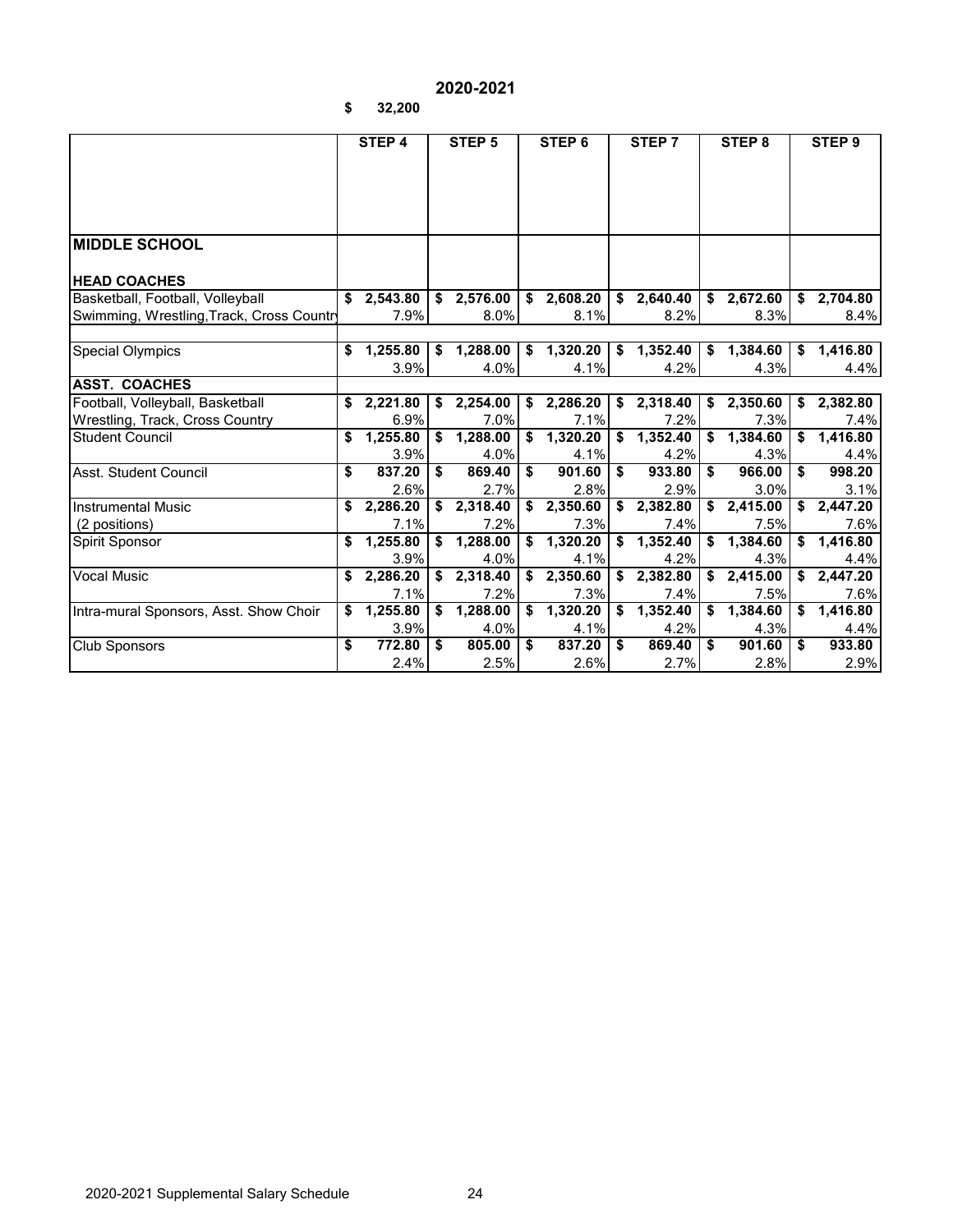# **2020-2021**

**\$ 32,200**

|                                          |    | STEP 4     | STEP <sub>5</sub> | STEP <sub>6</sub> | STEP <sub>7</sub> | STEP <sub>8</sub> | STEP <sub>9</sub> |
|------------------------------------------|----|------------|-------------------|-------------------|-------------------|-------------------|-------------------|
|                                          |    |            |                   |                   |                   |                   |                   |
|                                          |    |            |                   |                   |                   |                   |                   |
|                                          |    |            |                   |                   |                   |                   |                   |
|                                          |    |            |                   |                   |                   |                   |                   |
| <b>MIDDLE SCHOOL</b>                     |    |            |                   |                   |                   |                   |                   |
|                                          |    |            |                   |                   |                   |                   |                   |
| <b>HEAD COACHES</b>                      |    |            |                   |                   |                   |                   |                   |
| Basketball, Football, Volleyball         |    | \$2,543.80 | \$2,576.00        | \$2,608.20        | \$2,640.40        | \$2,672.60        | \$2,704.80        |
| Swimming, Wrestling, Track, Cross Countr |    | 7.9%       | 8.0%              | 8.1%              | 8.2%              | 8.3%              | 8.4%              |
|                                          |    |            |                   |                   |                   |                   |                   |
| <b>Special Olympics</b>                  | \$ | 1,255.80   | \$<br>1,288.00    | \$<br>1,320.20    | \$<br>1,352.40    | \$<br>1,384.60    | \$<br>1,416.80    |
|                                          |    | 3.9%       | 4.0%              | 4.1%              | 4.2%              | 4.3%              | 4.4%              |
| <b>ASST. COACHES</b>                     |    |            |                   |                   |                   |                   |                   |
| Football, Volleyball, Basketball         | \$ | 2,221.80   | \$<br>2,254.00    | \$2,286.20        | $\sqrt{2,318.40}$ | \$2,350.60        | \$<br>2,382.80    |
| Wrestling, Track, Cross Country          |    | 6.9%       | 7.0%              | 7.1%              | 7.2%              | 7.3%              | 7.4%              |
| Student Council                          | \$ | 1,255.80   | \$<br>1,288.00    | \$<br>1,320.20    | \$<br>1,352.40    | \$<br>1,384.60    | \$<br>1,416.80    |
|                                          |    | 3.9%       | 4.0%              | 4.1%              | 4.2%              | 4.3%              | 4.4%              |
| Asst. Student Council                    | \$ | 837.20     | \$<br>869.40      | \$<br>901.60      | \$<br>933.80      | \$<br>966.00      | \$<br>998.20      |
|                                          |    | 2.6%       | 2.7%              | 2.8%              | 2.9%              | 3.0%              | 3.1%              |
| <b>Instrumental Music</b>                | \$ | 2,286.20   | \$<br>2,318.40    | \$2,350.60        | \$2,382.80        | \$2,415.00        | \$<br>2,447.20    |
| (2 positions)                            |    | 7.1%       | 7.2%              | 7.3%              | 7.4%              | 7.5%              | 7.6%              |
| Spirit Sponsor                           | \$ | 1,255.80   | \$<br>1,288.00    | \$<br>1,320.20    | \$<br>1,352.40    | \$1,384.60        | \$<br>1,416.80    |
|                                          |    | 3.9%       | 4.0%              | 4.1%              | 4.2%              | 4.3%              | 4.4%              |
| <b>Vocal Music</b>                       | \$ | 2,286.20   | \$2,318.40        | \$2,350.60        | \$2,382.80        | \$2,415.00        | \$<br>2,447.20    |
|                                          |    | 7.1%       | 7.2%              | 7.3%              | 7.4%              | 7.5%              | 7.6%              |
| Intra-mural Sponsors, Asst. Show Choir   | \$ | 1,255.80   | \$<br>1,288.00    | \$<br>1,320.20    | \$<br>1,352.40    | \$<br>1,384.60    | \$<br>1,416.80    |
|                                          |    | 3.9%       | 4.0%              | 4.1%              | 4.2%              | 4.3%              | 4.4%              |
| <b>Club Sponsors</b>                     | \$ | 772.80     | \$<br>805.00      | \$<br>837.20      | \$<br>869.40      | \$<br>901.60      | \$<br>933.80      |
|                                          |    | 2.4%       | 2.5%              | 2.6%              | 2.7%              | 2.8%              | 2.9%              |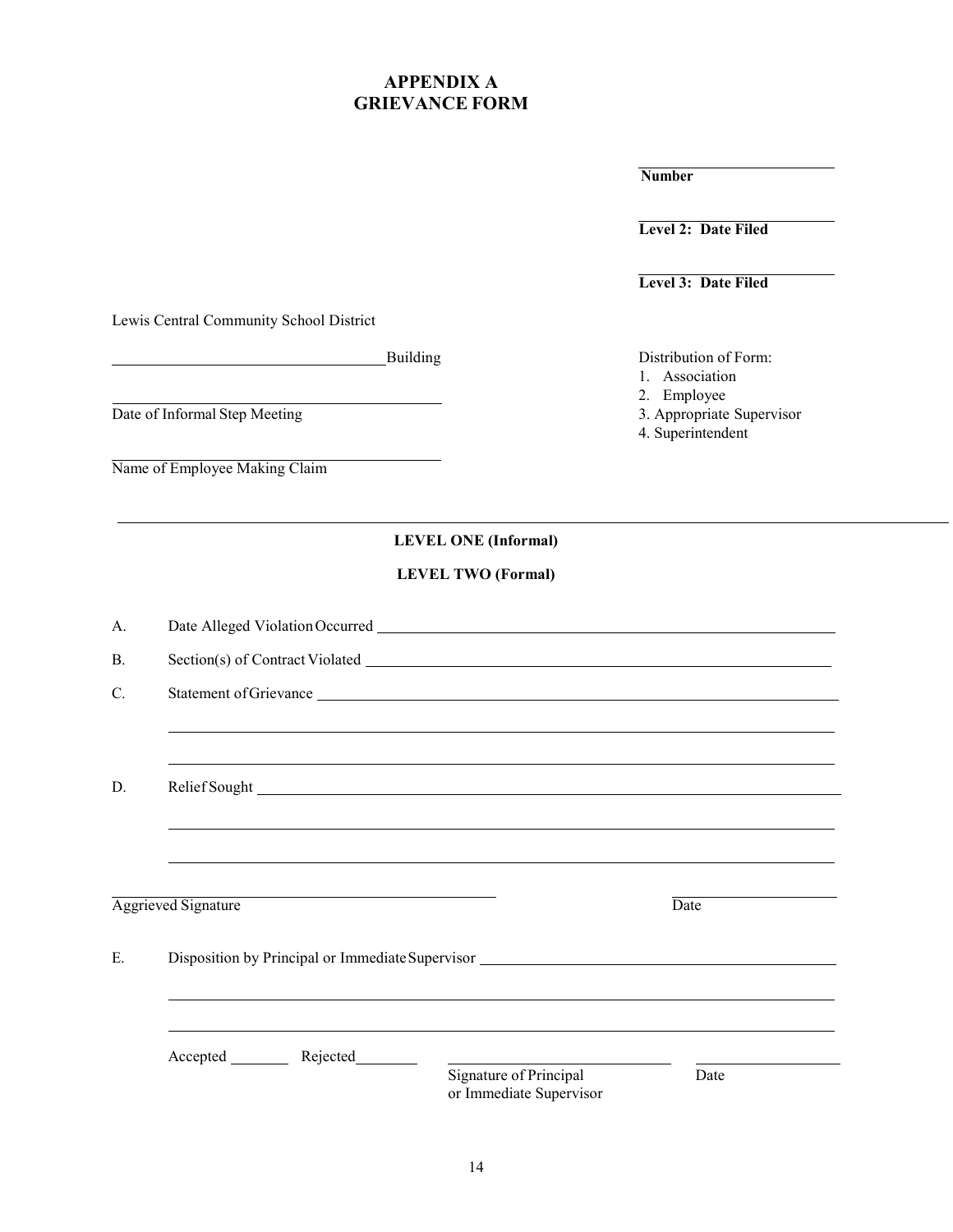# **APPENDIX A GRIEVANCE FORM**

**Number**

**Level 2: Date Filed**

**Level 3: Date Filed**

Lewis Central Community School District

Date of Informal Step Meeting

Name of Employee Making Claim

Building Distribution of Form:

- 1. Association
- 
- 2. Employee<br>3. Appropriate Supervisor
- 4. Superintendent

**LEVEL ONE (Informal)** 

# **LEVEL TWO (Formal)**

|                                                   | Date                                                                                                                                                                                                                                                                             |
|---------------------------------------------------|----------------------------------------------------------------------------------------------------------------------------------------------------------------------------------------------------------------------------------------------------------------------------------|
|                                                   |                                                                                                                                                                                                                                                                                  |
|                                                   |                                                                                                                                                                                                                                                                                  |
|                                                   |                                                                                                                                                                                                                                                                                  |
|                                                   |                                                                                                                                                                                                                                                                                  |
| Signature of Principal<br>or Immediate Supervisor | Date                                                                                                                                                                                                                                                                             |
| Accepted Rejected                                 | ,我们也不会有什么?""我们的人,我们也不会不会不会。""我们的人,我们也不会不会不会不会。""我们的人,我们也不会不会不会不会。""我们的人,我们也不会不会不<br>,我们也不会有什么?""我们的人,我们也不会有什么?""我们的人,我们也不会有什么?""我们的人,我们也不会有什么?""我们的人,我们也不会有什么?""我们的人<br>Aggrieved Signature<br>Disposition by Principal or Immediate Supervisor ________________________________ |